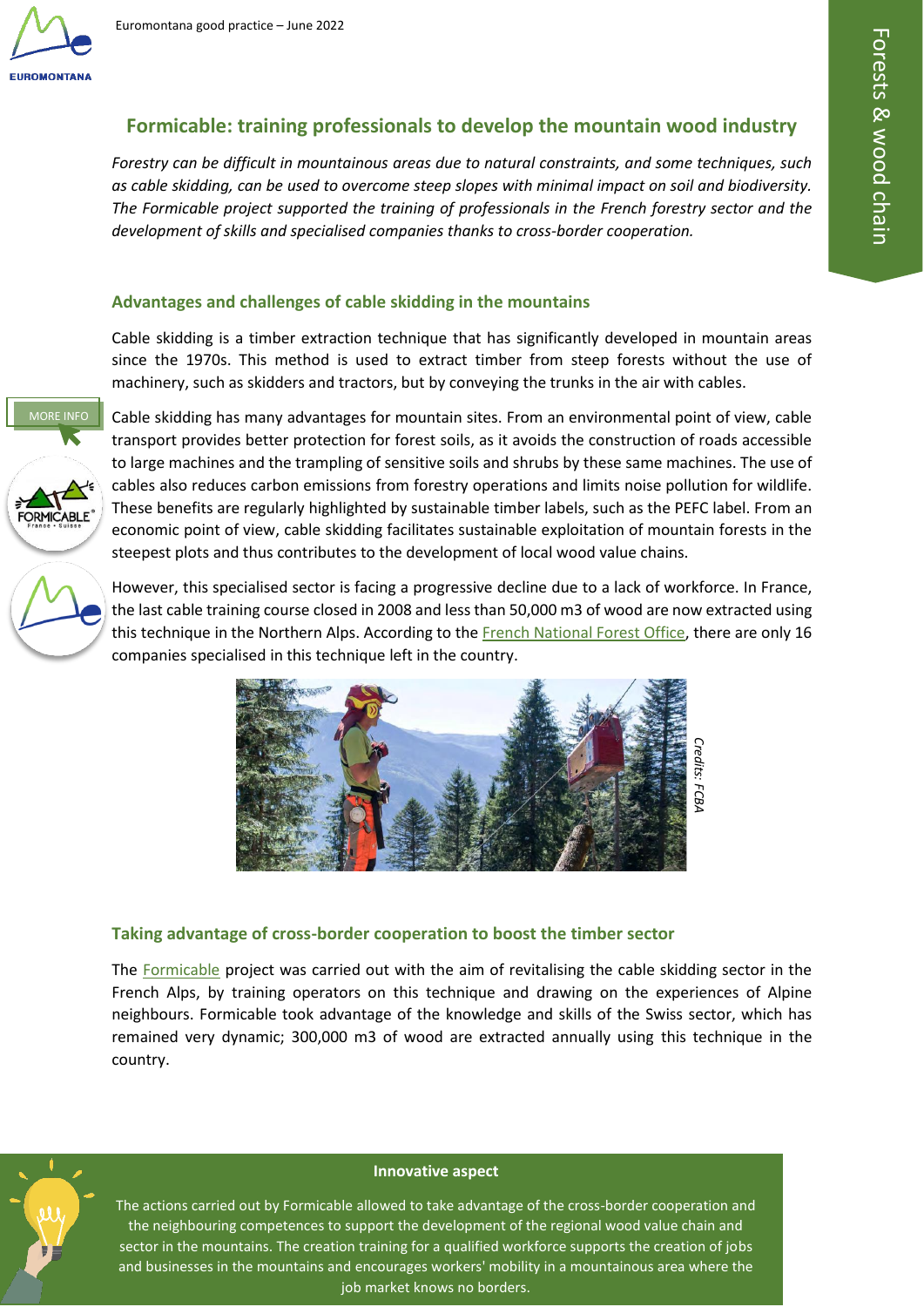

# **Formicable: training professionals to develop the mountain wood industry**

*Forestry can be difficult in mountainous areas due to natural constraints, and some techniques, such as cable skidding, can be used to overcome steep slopes with minimal impact on soil and biodiversity. The Formicable project supported the training of professionals in the French forestry sector and the development of skills and specialised companies thanks to cross-border cooperation.*

## **Advantages and challenges of cable skidding in the mountains**

Cable skidding is a timber extraction technique that has significantly developed in mountain areas since the 1970s. This method is used to extract timber from steep forests without the use of machinery, such as skidders and tractors, but by conveying the trunks in the air with cables.



Cable skidding has many advantages for mountain sites. From an environmental point of view, cable transport provides better protection for forest soils, as it avoids the construction of roads accessible [to](https://www.interreg-francesuisse.eu/beneficiaire/formicable-formation-innovation-cable-le-cablage-au-service-de-lexploitation-forestiere/) large machines and the trampling of sensitive soils and shrubs by these same machines. The use of cables also reduces carbon emissions from forestry operations and limits noise pollution for wildlife. These benefits are regularly highlighted by sustainable timber labels, such as the PEFC label. From an economic point of view, cable skidding facilitates sustainable exploitation of mountain forests in the steepest plots and thus contributes to the development of local wood value chains.

[H](https://www.euromontana.org/en/working-themes/forests/)owever, this specialised sector is facing a progressive decline due to a lack of workforce. In France, the last cable training course closed in 2008 and less than 50,000 m3 of wood are now extracted using this technique in the Northern Alps. According to the French National Forest Office, there are only 16 companies specialised in this technique left in the country.



### **Taking advantage of cross-border cooperation to boost the timber sector**

The Formicable project was carried out with the aim of revitalising the cable skidding sector in the French Alps, by training operators on this technique and drawing on the experiences of Alpine neighbours. Formicable took advantage of the knowledge and skills of the Swiss sector, which has remained very dynamic; 300,000 m3 of wood are extracted annually using this technique in the country.



#### **Innovative aspect**

The actions carried out by Formicable allowed to take advantage of the cross-border cooperation and the neighbouring competences to support the development of the regional wood value chain and sector in the mountains. The creation training for a qualified workforce supports the creation of jobs and businesses in the mountains and encourages workers' mobility in a mountainous area where the job market knows no borders.